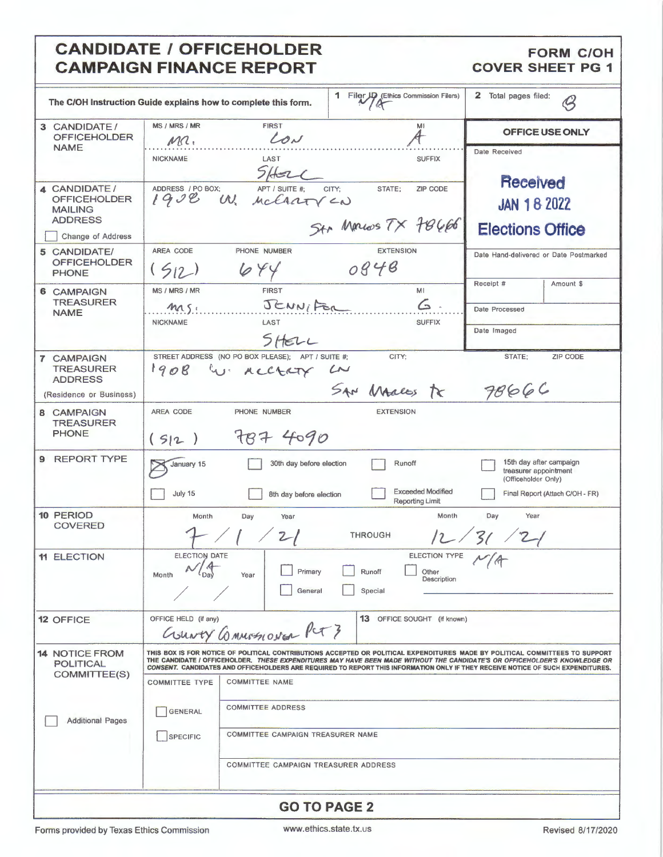# **CANDIDATE / OFFICEHOLDER CAMPAIGN FINANCE REPORT**

### **FORM C/OH COVER SHEET PG 1**

| The C/OH Instruction Guide explains how to complete this form.                               |                                                            |                                                                                                                                              | 1 Filer JD (Ethics Commission Filers)                              | $\mathbf{z}$<br>Total pages filed:<br>$\mathcal G$                                                                                                                                                                                                                                                                                                                                                   |
|----------------------------------------------------------------------------------------------|------------------------------------------------------------|----------------------------------------------------------------------------------------------------------------------------------------------|--------------------------------------------------------------------|------------------------------------------------------------------------------------------------------------------------------------------------------------------------------------------------------------------------------------------------------------------------------------------------------------------------------------------------------------------------------------------------------|
| 3 CANDIDATE /<br><b>OFFICEHOLDER</b><br><b>NAME</b>                                          | MS / MRS / MR<br>MC.                                       | <b>FIRST</b><br>LON                                                                                                                          | MI                                                                 | OFFICE USE ONLY                                                                                                                                                                                                                                                                                                                                                                                      |
|                                                                                              | <b>NICKNAME</b>                                            | LAST<br>$5$ Holl                                                                                                                             | <b>SUFFIX</b>                                                      | Date Received<br>Received                                                                                                                                                                                                                                                                                                                                                                            |
| 4 CANDIDATE/<br><b>OFFICEHOLDER</b><br><b>MAILING</b><br><b>ADDRESS</b><br>Change of Address | ADDRESS / PO BOX:                                          | APT / SUITE #:<br>1908 W. McCrary CN                                                                                                         | CITY:<br>STATE;<br><b>ZIP CODE</b><br>Str Marcos TX 78666          | <b>JAN 18 2022</b><br><b>Elections Office</b>                                                                                                                                                                                                                                                                                                                                                        |
| 5 CANDIDATE/<br><b>OFFICEHOLDER</b><br><b>PHONE</b>                                          | AREA CODE<br>(512)                                         | PHONE NUMBER<br>644                                                                                                                          | <b>EXTENSION</b><br>0848                                           | Date Hand-delivered or Date Postmarked                                                                                                                                                                                                                                                                                                                                                               |
| <b>6 CAMPAIGN</b><br><b>TREASURER</b><br><b>NAME</b>                                         | MS / MRS / MR<br>msi<br><b>NICKNAME</b>                    | <b>FIRST</b><br>JENNIFOR<br>LAST<br>SHELL                                                                                                    | MI<br>$\epsilon$ .<br><b>SUFFIX</b>                                | Receipt #<br>Amount \$<br>Date Processed<br>Date Imaged                                                                                                                                                                                                                                                                                                                                              |
| <b>7 CAMPAIGN</b><br><b>TREASURER</b><br><b>ADDRESS</b><br>(Residence or Business)           |                                                            | STREET ADDRESS (NO PO BOX PLEASE); APT / SUITE #:<br>1908 W ACCTATY LN                                                                       | CITY:<br>SAN Males tr                                              | STATE;<br><b>ZIP CODE</b><br>7866C                                                                                                                                                                                                                                                                                                                                                                   |
| 8 CAMPAIGN<br><b>TREASURER</b><br><b>PHONE</b>                                               | AREA CODE<br>(512)                                         | PHONE NUMBER<br>787 4090                                                                                                                     | <b>EXTENSION</b>                                                   |                                                                                                                                                                                                                                                                                                                                                                                                      |
| 9 REPORT TYPE                                                                                | January 15<br>July 15                                      | 30th day before election<br>8th day before election                                                                                          | Runoff<br><b>Exceeded Modified</b><br>Reporting Limit              | 15th day after campaign<br>treasurer appointment<br>(Officeholder Only)<br>Final Report (Attach C/OH - FR)                                                                                                                                                                                                                                                                                           |
| <b>10 PERIOD</b><br><b>COVERED</b>                                                           | Month                                                      | Day<br>Year<br>$\frac{2}{2}$                                                                                                                 | Month<br><b>THROUGH</b>                                            | Day<br>Year<br>12/31/21                                                                                                                                                                                                                                                                                                                                                                              |
| <b>11 ELECTION</b>                                                                           | ELECTION DATE<br>N/4<br>Month<br><sup>L</sup> Day          | Year<br>General                                                                                                                              | ELECTION TYPE<br>Primary Runoff<br>Other<br>Description<br>Special |                                                                                                                                                                                                                                                                                                                                                                                                      |
| <b>12 OFFICE</b>                                                                             | OFFICE HELD (if any)                                       | County Connectional Pct 3                                                                                                                    | 13 OFFICE SOUGHT (if known)                                        |                                                                                                                                                                                                                                                                                                                                                                                                      |
| <b>14 NOTICE FROM</b><br><b>POLITICAL</b><br>COMMITTEE(S)<br><b>Additional Pages</b>         | <b>COMMITTEE TYPE</b><br><b>GENERAL</b><br><b>SPECIFIC</b> | <b>COMMITTEE NAME</b><br><b>COMMITTEE ADDRESS</b><br><b>COMMITTEE CAMPAIGN TREASURER NAME</b><br><b>COMMITTEE CAMPAIGN TREASURER ADDRESS</b> |                                                                    | THIS BOX IS FOR NOTICE OF POLITICAL CONTRIBUTIONS ACCEPTED OR POLITICAL EXPENDITURES MADE BY POLITICAL COMMITTEES TO SUPPORT<br>THE CANDIDATE / OFFICEHOLDER. <i>THESE EXPENDITURES MAY HAVE BEEN MADE WITHOUT THE CANDIDATE'S OR OFFICEHOLDER'S KNOWLEDGE OR</i><br>CONSENT. CANDIDATES AND OFFICEHOLDERS ARE REQUIRED TO REPORT THIS INFORMATION ONLY IF THEY RECEIVE NOTICE OF SUCH EXPENDITURES. |
| <b>GO TO PAGE 2</b>                                                                          |                                                            |                                                                                                                                              |                                                                    |                                                                                                                                                                                                                                                                                                                                                                                                      |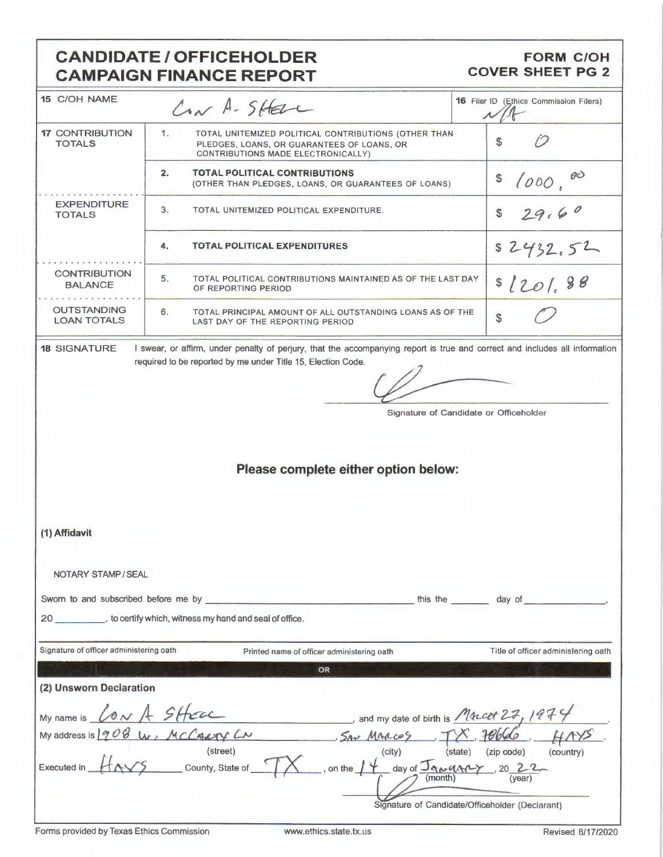# **CANDIDATE / OFFICEHOLDER CAMPAIGN FINANCE REPORT**

### **FORM C/OH COVER SHEET PG 2**

| <b>15 C/OH NAME</b>                      | Con A-SHELL                                                                                                                                                                                 | <b>16</b> Filer ID (Ethics Commission Filers) |  |
|------------------------------------------|---------------------------------------------------------------------------------------------------------------------------------------------------------------------------------------------|-----------------------------------------------|--|
| <b>17 CONTRIBUTION</b><br><b>TOTALS</b>  | 1.<br>TOTAL UNITEMIZED POLITICAL CONTRIBUTIONS (OTHER THAN<br>PLEDGES, LOANS, OR GUARANTEES OF LOANS, OR<br>CONTRIBUTIONS MADE ELECTRONICALLY)                                              | \$                                            |  |
|                                          | <b>TOTAL POLITICAL CONTRIBUTIONS</b><br>2.<br>(OTHER THAN PLEDGES, LOANS, OR GUARANTEES OF LOANS)                                                                                           | \$<br>1000,                                   |  |
| <b>EXPENDITURE</b><br><b>TOTALS</b>      | 3.<br>TOTAL UNITEMIZED POLITICAL EXPENDITURE.                                                                                                                                               | 29.60<br>\$                                   |  |
|                                          | 4.<br><b>TOTAL POLITICAL EXPENDITURES</b>                                                                                                                                                   | \$2432.52                                     |  |
| <b>CONTRIBUTION</b><br><b>BALANCE</b>    | 5.<br>TOTAL POLITICAL CONTRIBUTIONS MAINTAINED AS OF THE LAST DAY<br>OF REPORTING PERIOD                                                                                                    | \$1201.88                                     |  |
| <b>OUTSTANDING</b><br><b>LOAN TOTALS</b> | 6.<br>TOTAL PRINCIPAL AMOUNT OF ALL OUTSTANDING LOANS AS OF THE<br>LAST DAY OF THE REPORTING PERIOD                                                                                         | $\frac{1}{2}$                                 |  |
| <b>18 SIGNATURE</b>                      | I swear, or affirm, under penalty of perjury, that the accompanying report is true and correct and includes all information<br>required to be reported by me under Title 15, Election Code. |                                               |  |
|                                          |                                                                                                                                                                                             |                                               |  |
|                                          | Signature of Candidate or Officeholder                                                                                                                                                      |                                               |  |
|                                          |                                                                                                                                                                                             |                                               |  |
|                                          |                                                                                                                                                                                             |                                               |  |
|                                          |                                                                                                                                                                                             |                                               |  |
|                                          | Please complete either option below:                                                                                                                                                        |                                               |  |
|                                          |                                                                                                                                                                                             |                                               |  |
|                                          |                                                                                                                                                                                             |                                               |  |
|                                          |                                                                                                                                                                                             |                                               |  |
|                                          |                                                                                                                                                                                             |                                               |  |
| (1) Affidavit                            |                                                                                                                                                                                             |                                               |  |
|                                          |                                                                                                                                                                                             |                                               |  |
| NOTARY STAMP / SEAL                      |                                                                                                                                                                                             |                                               |  |
|                                          |                                                                                                                                                                                             |                                               |  |
|                                          |                                                                                                                                                                                             |                                               |  |
|                                          | 20 __________, to certify which, witness my hand and seal of office.                                                                                                                        |                                               |  |
| Signature of officer administering oath  | Printed name of officer administering oath                                                                                                                                                  | Title of officer administering oath           |  |
|                                          | OR                                                                                                                                                                                          |                                               |  |
| (2) Unsworn Declaration                  |                                                                                                                                                                                             |                                               |  |
| My name is $\&$ $\&$ $\&$ $\&$ $\&$      | and my date of birth is $M$ Macet $23$ , 197                                                                                                                                                |                                               |  |
| My address is 908                        | Les McCasay CN Sav Marcos TX 70666.                                                                                                                                                         |                                               |  |
|                                          | (street)<br>(city)                                                                                                                                                                          | (state) (zip code)<br>(country)               |  |
| Executed in                              | S County, State of TX<br>on the $14$ day of $\frac{J_{\text{av}}}{I_{\text{month}}}$ , 20 22                                                                                                |                                               |  |
|                                          |                                                                                                                                                                                             |                                               |  |
|                                          |                                                                                                                                                                                             |                                               |  |
|                                          | Signature of Candidate/Officeholder (Declarant)                                                                                                                                             |                                               |  |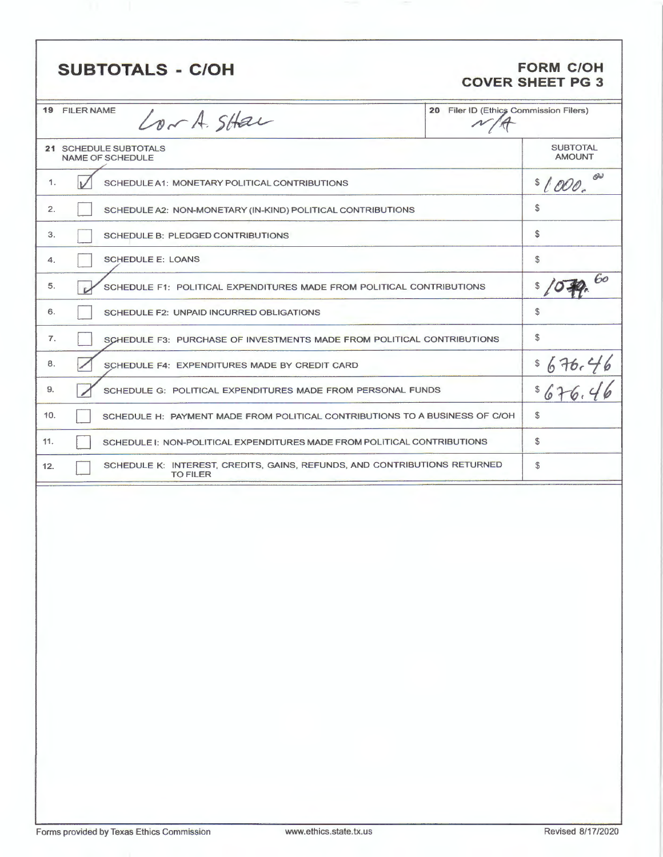| <b>SUBTOTALS - C/OH</b>                                                                             |                                        | <b>FORM C/OH</b><br><b>COVER SHEET PG 3</b> |
|-----------------------------------------------------------------------------------------------------|----------------------------------------|---------------------------------------------|
| <b>19 FILER NAME</b><br>Lor A. SHar                                                                 | 20 Filer ID (Ethics Commission Filers) |                                             |
| 21 SCHEDULE SUBTOTALS<br><b>NAME OF SCHEDULE</b>                                                    |                                        | <b>SUBTOTAL</b><br><b>AMOUNT</b>            |
| 1.<br>SCHEDULE A1: MONETARY POLITICAL CONTRIBUTIONS                                                 |                                        | ow<br>\$1000.                               |
| 2.<br>SCHEDULE A2: NON-MONETARY (IN-KIND) POLITICAL CONTRIBUTIONS                                   |                                        | \$                                          |
| 3.<br>SCHEDULE B: PLEDGED CONTRIBUTIONS                                                             |                                        | \$                                          |
| <b>SCHEDULE E: LOANS</b><br>4.                                                                      |                                        | \$                                          |
| 5.<br>SCHEDULE F1: POLITICAL EXPENDITURES MADE FROM POLITICAL CONTRIBUTIONS<br><b>D</b>             |                                        | 60<br>\$                                    |
| 6.<br>SCHEDULE F2: UNPAID INCURRED OBLIGATIONS                                                      |                                        | \$                                          |
| 7.<br>SCHEDULE F3: PURCHASE OF INVESTMENTS MADE FROM POLITICAL CONTRIBUTIONS                        |                                        | \$                                          |
| 8.<br>SCHEDULE F4: EXPENDITURES MADE BY CREDIT CARD                                                 |                                        | \$<br>$676.46$<br>676.46                    |
| 9.<br>SCHEDULE G: POLITICAL EXPENDITURES MADE FROM PERSONAL FUNDS                                   |                                        | \$                                          |
| 10.<br>SCHEDULE H: PAYMENT MADE FROM POLITICAL CONTRIBUTIONS TO A BUSINESS OF C/OH                  |                                        | \$                                          |
| 11.<br>SCHEDULE I: NON-POLITICAL EXPENDITURES MADE FROM POLITICAL CONTRIBUTIONS                     |                                        | $\mathfrak{F}$                              |
| SCHEDULE K: INTEREST, CREDITS, GAINS, REFUNDS, AND CONTRIBUTIONS RETURNED<br>12.<br><b>TO FILER</b> |                                        | \$                                          |
|                                                                                                     |                                        |                                             |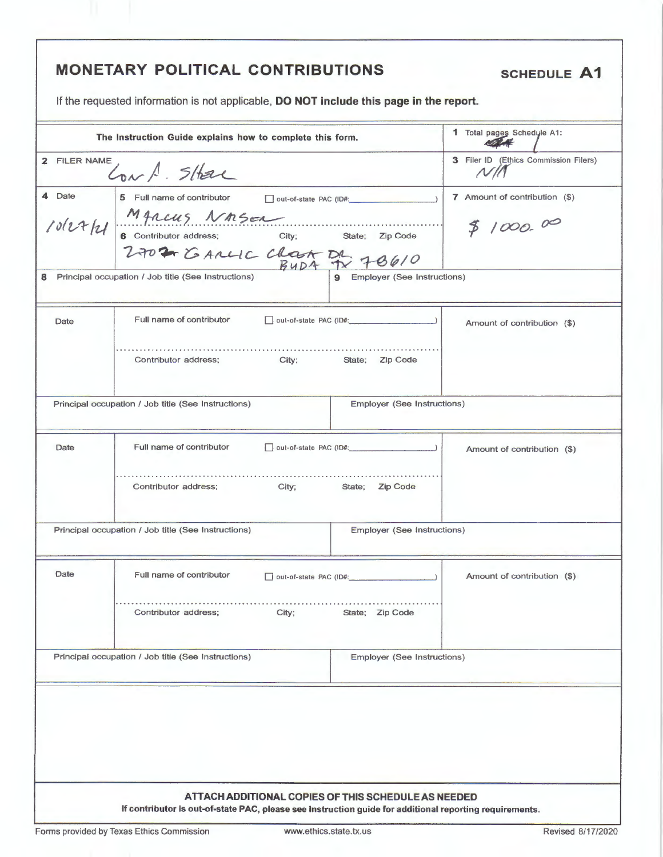|              | <b>MONETARY POLITICAL CONTRIBUTIONS</b>                                                                                                                             |                                    | <b>SCHEDULE A1</b>                        |
|--------------|---------------------------------------------------------------------------------------------------------------------------------------------------------------------|------------------------------------|-------------------------------------------|
|              | If the requested information is not applicable, DO NOT include this page in the report.                                                                             |                                    |                                           |
|              | The Instruction Guide explains how to complete this form.                                                                                                           |                                    | 1 Total pages Schedule A1:                |
| 2 FILER NAME | Conf. SHar                                                                                                                                                          |                                    | 3 Filer ID (Ethics Commission Filers)     |
| 4 Date       | 5 Full name of contributor and out-of-state PAC (ID#:<br>Date MARCUS NASEL<br>10/27/21 6 Contributor address; City; State; Zip Code<br>2702 6 ANCLC CLOCA DA 78 0/0 |                                    | 7 Amount of contribution (\$)<br>81000.00 |
| 8            | Principal occupation / Job title (See Instructions)                                                                                                                 | 9 Employer (See Instructions)      |                                           |
| Date         | Full name of contributor                                                                                                                                            |                                    | Amount of contribution (\$)               |
|              | Contributor address;<br>City; State; Zip Code                                                                                                                       |                                    |                                           |
|              | Principal occupation / Job title (See Instructions)                                                                                                                 | Employer (See Instructions)        |                                           |
| Date         | Full name of contributor                                                                                                                                            |                                    | Amount of contribution (\$)               |
|              | Contributor address;<br>City;                                                                                                                                       | State; Zip Code                    |                                           |
|              | Principal occupation / Job title (See Instructions)                                                                                                                 | <b>Employer (See Instructions)</b> |                                           |
| Date         | Full name of contributor<br>out-of-state PAC (ID#:                                                                                                                  |                                    | Amount of contribution (\$)               |
|              | Contributor address;<br>City;                                                                                                                                       | State; Zip Code                    |                                           |
|              | Principal occupation / Job title (See Instructions)                                                                                                                 | Employer (See Instructions)        |                                           |
|              |                                                                                                                                                                     |                                    |                                           |
|              | ATTACH ADDITIONAL COPIES OF THIS SCHEDULE AS NEEDED<br>If contributor is out-of-state PAC, please see Instruction guide for additional reporting requirements.      |                                    |                                           |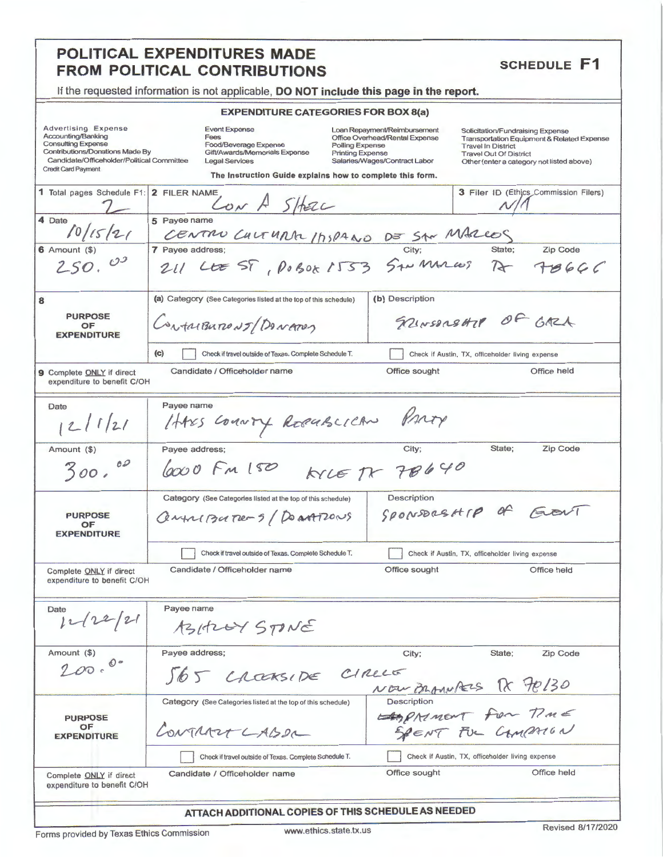### POLITICAL EXPENDITURES MADE **FROM POLITICAL CONTRIBUTIONS**

## **SCHEDULE F1**

If the requested information is not applicable, DO NOT include this page in the report.

#### **EXPENDITURE CATEGORIES FOR BOX 8(a)**

| <b>Advertising Expense</b> |                                            |
|----------------------------|--------------------------------------------|
| Accounting/Banking         |                                            |
| <b>Consulting Expense</b>  |                                            |
|                            | <b>Contributions/Donations Made By</b>     |
|                            | Candidate/Officeholder/Political Committee |
| Credit Card Payment        |                                            |

**Event Expense** Frees<br>Fees<br>Gift/Awards/Memorials Expense Legal Services

Loan Repayment/Reimbursement Office Overhead/Rental Expense Polling Expense<br>Printing Expense Salaries/Wages/Contract Labor

Solicitation/Fundraising Expense Transportation Equipment & Related Expense Travel In District<br>Travel Out Of District Other (enter a category not listed above)

| Creat Card Payment<br>The Instruction Guide explains how to complete this form.                            |                                                                                              |                                                                                                                               |  |  |  |
|------------------------------------------------------------------------------------------------------------|----------------------------------------------------------------------------------------------|-------------------------------------------------------------------------------------------------------------------------------|--|--|--|
| 1 Total pages Schedule F1: 2 FILER NAME                                                                    | CON A SHELL                                                                                  | 3 Filer ID (Ethics Commission Filers)                                                                                         |  |  |  |
| 4 Date<br>10/15/21                                                                                         | 5 Payee name                                                                                 |                                                                                                                               |  |  |  |
| $6$ Amount $(\$)$<br>250.03                                                                                | 7 Payee address;                                                                             | CENTRO CULTURAL 1/750440 DE SAN MARLES<br>Payee address: City; State; Zip Code<br>211 LEE ST, P0 BOK 1533 SAN MARCOS DE 78666 |  |  |  |
| 8<br><b>PURPOSE</b><br>OF<br><b>EXPENDITURE</b>                                                            | (a) Category (See Categories listed at the top of this schedule)<br>Contributions/Devances   | (b) Description<br>SPLINSDREAMY OF GAZA                                                                                       |  |  |  |
|                                                                                                            | (c)<br>Check if travel outside of Texas. Complete Schedule T.                                | Check if Austin, TX, officeholder living expense                                                                              |  |  |  |
| <b>9</b> Complete ONLY if direct<br>expenditure to benefit C/OH                                            | Candidate / Officeholder name                                                                | Office held<br>Office sought                                                                                                  |  |  |  |
| Date<br>12/121                                                                                             | Payee name<br>HARS COMMANY RECUBLICAN                                                        | Privay                                                                                                                        |  |  |  |
| Amount (\$)<br>$\mathcal{O}$<br>300.                                                                       | Payee address;<br>$arccot$ $Fm150$                                                           | City;<br>State;<br><b>Zip Code</b><br>KILE TX 78640                                                                           |  |  |  |
| <b>PURPOSE</b><br>OF<br><b>EXPENDITURE</b>                                                                 | Category (See Categories listed at the top of this schedule)<br>Centre Barres 5/ De artizons | Description<br>SPONSBREATIP of FLOUT                                                                                          |  |  |  |
|                                                                                                            | Check if travel outside of Texas. Complete Schedule T.                                       | Check if Austin, TX, officeholder living expense                                                                              |  |  |  |
| Complete ONLY if direct<br>expenditure to benefit C/OH                                                     | Candidate / Officeholder name                                                                | Office held<br>Office sought                                                                                                  |  |  |  |
| Date<br>12222                                                                                              | Payee name<br>AZIELEY STONE                                                                  |                                                                                                                               |  |  |  |
| Amount (\$)<br>200.00                                                                                      | Payee address:<br>565 CROCKSIDE CIRLLE                                                       | State;<br>Zip Code<br>City:                                                                                                   |  |  |  |
| <b>PURPOSE</b><br>OF<br><b>EXPENDITURE</b>                                                                 | Category (See Categories listed at the top of this schedule)<br>CONTRACT LABOR               | NEW BRANNASS DX 70130<br>Description<br>APRIMENT FUL CAMPAIGN                                                                 |  |  |  |
| Check if Austin, TX, officeholder living expense<br>Check if travel outside of Texas. Complete Schedule T. |                                                                                              |                                                                                                                               |  |  |  |
| Complete ONLY if direct<br>expenditure to benefit C/OH                                                     | Candidate / Officeholder name                                                                | Office held<br>Office sought                                                                                                  |  |  |  |
|                                                                                                            | ATTACH ADDITIONAL COPIES OF THIS SCHEDULE AS NEEDED                                          |                                                                                                                               |  |  |  |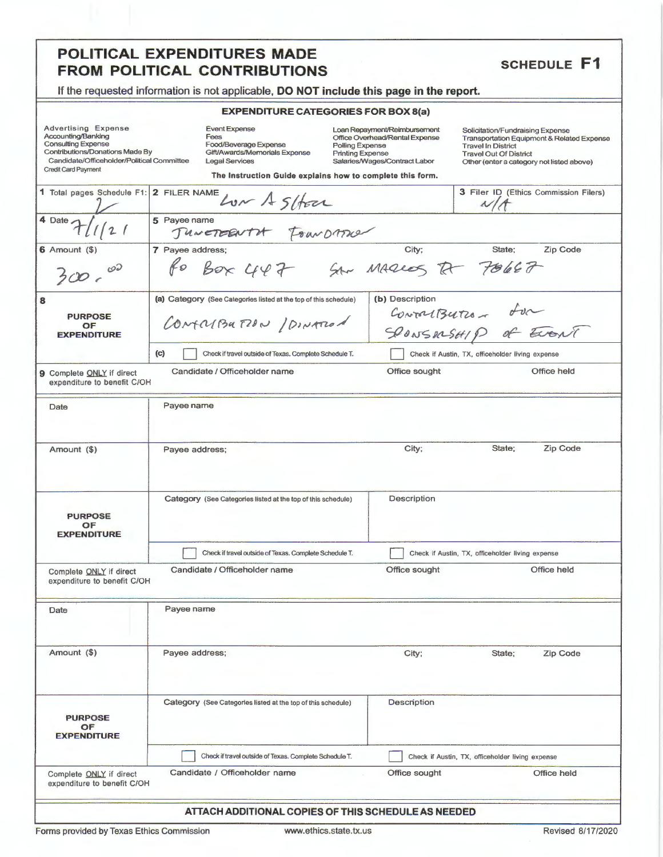### POLITICAL EXPENDITURES MADE **FROM POLITICAL CONTRIBUTIONS**

### **SCHEDULE F1**

If the requested information is not applicable, DO NOT include this page in the report.

#### **EXPENDITURE CATEGORIES FOR BOX 8(a)**

| <b>Advertising Expense</b> |                                            |
|----------------------------|--------------------------------------------|
| Accounting/Banking         |                                            |
| <b>Consulting Expense</b>  |                                            |
|                            | Contributions/Donations Made By            |
|                            | Candidate/Officeholder/Political Committee |
| Crodit Card Poyment        |                                            |

Event Expense Fees rees<br>Food/Beverage Expense<br>Gift/Awards/Memorials Expense Legal Services

Loan Repayment/Reimbursement<br>Office Overhead/Rental Expense Polling Expense Printing Expense<br>Printing Expense<br>Salaries/Wages/Contract Labor

Solicitation/Fundraising Expense Transportation Equipment & Related Expense<br>Travel In District **Travel Out Of District** Other (enter a category not listed above)

|                                                          | The Instruction Guide explains how to complete this form.                                   |                                                  |  |  |
|----------------------------------------------------------|---------------------------------------------------------------------------------------------|--------------------------------------------------|--|--|
| 1 Total pages Schedule F1: 2 FILER NAME                  | Low A Stock                                                                                 | 3 Filer ID (Ethics Commission Filers)            |  |  |
| $4 \text{ Date } \frac{7}{11121}$                        | ayee name<br>5 Payee name                                                                   |                                                  |  |  |
| $6$ Amount $(9)$<br>$\mathcal{O}^{\mathcal{D}}$<br>300c  | 7 Payee address;<br>ayee address;<br>fo Box 447 Str MAQLOS RT 70667                         | City;<br>State;<br>Zip Code                      |  |  |
| 8<br><b>PURPOSE</b><br>OF<br><b>EXPENDITURE</b>          | (a) Category (See Categories listed at the top of this schedule)<br>CONTRABUTION / DINATION | (b) Description<br>Convertisutes for             |  |  |
|                                                          | (c)<br>Check if travel outside of Texas. Complete Schedule T.                               | Check if Austin, TX, officeholder living expense |  |  |
| 9 Complete ONLY if direct<br>expenditure to benefit C/OH | Candidate / Officeholder name                                                               | Office sought<br>Office held                     |  |  |
| Date                                                     | Payee name                                                                                  |                                                  |  |  |
| Amount (\$)                                              | Payee address;                                                                              | State;<br>Zip Code<br>City;                      |  |  |
| <b>PURPOSE</b><br>OF<br><b>EXPENDITURE</b>               | Category (See Categories listed at the top of this schedule)                                | Description                                      |  |  |
|                                                          | Check if travel outside of Texas. Complete Schedule T.                                      | Check if Austin, TX, officeholder living expense |  |  |
| Complete ONLY if direct<br>expenditure to benefit C/OH   | Candidate / Officeholder name                                                               | Office sought<br>Office held                     |  |  |
| Date                                                     | Payee name                                                                                  |                                                  |  |  |
| Amount (\$)                                              | Payee address;                                                                              | <b>Zip Code</b><br>City;<br>State;               |  |  |
| <b>PURPOSE</b><br>OF<br><b>EXPENDITURE</b>               | Category (See Categories listed at the top of this schedule)                                | Description                                      |  |  |
|                                                          | Check if travel outside of Texas. Complete Schedule T.                                      | Check if Austin, TX, officeholder living expense |  |  |
| Complete ONLY if direct<br>expenditure to benefit C/OH   | Candidate / Officeholder name                                                               | Office sought<br>Office held                     |  |  |
|                                                          |                                                                                             |                                                  |  |  |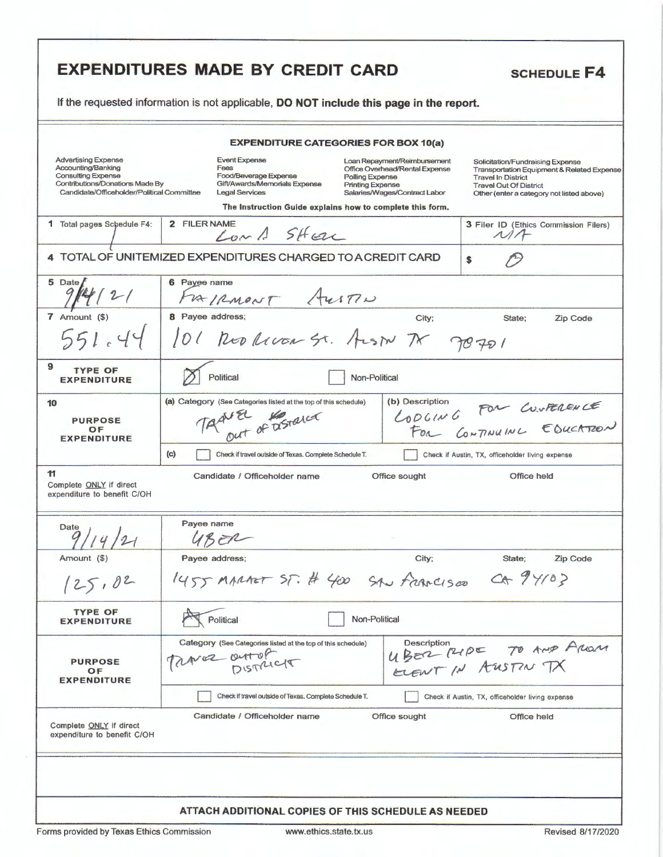|                                                                                                                                                                | If the requested information is not applicable, DO NOT include this page in the report.                                                                                                                                                                                                                                                                                                                                                                                                                                               |  |  |  |
|----------------------------------------------------------------------------------------------------------------------------------------------------------------|---------------------------------------------------------------------------------------------------------------------------------------------------------------------------------------------------------------------------------------------------------------------------------------------------------------------------------------------------------------------------------------------------------------------------------------------------------------------------------------------------------------------------------------|--|--|--|
|                                                                                                                                                                | <b>EXPENDITURE CATEGORIES FOR BOX 10(a)</b>                                                                                                                                                                                                                                                                                                                                                                                                                                                                                           |  |  |  |
| <b>Advertising Expense</b><br>Accounting/Banking<br><b>Consulting Expense</b><br>Contributions/Donations Made By<br>Candidate/Officeholder/Political Committee | <b>Event Expense</b><br>Loan Repayment/Reimbursement<br>Solicitation/Fundraising Expense<br>Fees<br>Office Overhead/Rental Expense<br><b>Transportation Equipment &amp; Related Expense</b><br>Food/Beverage Expense<br>Polling Expense<br><b>Travel In District</b><br>Gift/Awards/Memorials Expense<br><b>Printing Expense</b><br><b>Travel Out Of District</b><br><b>Legal Services</b><br>Salaries/Wages/Contract Labor<br>Other (enter a category not listed above)<br>The Instruction Guide explains how to complete this form. |  |  |  |
| 1 Total pages Schedule F4:                                                                                                                                     | 2 FILER NAME<br>3 Filer ID (Ethics Commission Filers)<br>Long SHELL<br>M/F                                                                                                                                                                                                                                                                                                                                                                                                                                                            |  |  |  |
|                                                                                                                                                                | 4 TOTAL OF UNITEMIZED EXPENDITURES CHARGED TO A CREDIT CARD<br>\$                                                                                                                                                                                                                                                                                                                                                                                                                                                                     |  |  |  |
| 5 Date<br>4/2/                                                                                                                                                 | 6 Payee name<br>FRIRMONT AUSTIN                                                                                                                                                                                                                                                                                                                                                                                                                                                                                                       |  |  |  |
| $7$ Amount $(\$)$<br>551.44                                                                                                                                    | 8 Payee address;<br>City:<br>State:<br>Zip Code<br>101 RED RIVER ST. ALSIN TX 70701                                                                                                                                                                                                                                                                                                                                                                                                                                                   |  |  |  |
| 9<br><b>TYPE OF</b><br><b>EXPENDITURE</b>                                                                                                                      | Political<br>Non-Political                                                                                                                                                                                                                                                                                                                                                                                                                                                                                                            |  |  |  |
| 10<br><b>PURPOSE</b><br>OF<br><b>EXPENDITURE</b>                                                                                                               | (b) Description<br>(a) Category (See Categories listed at the top of this schedule)<br>LODGING FOR CUNFERENCE<br>NEL of astalet<br>(c)<br>Check if travel outside of Texas. Complete Schedule T.<br>Check if Austin, TX, officeholder living expense                                                                                                                                                                                                                                                                                  |  |  |  |
| 11<br>Complete <b>ONLY</b> if direct<br>expenditure to benefit C/OH                                                                                            | Candidate / Officeholder name<br>Office held<br>Office sought                                                                                                                                                                                                                                                                                                                                                                                                                                                                         |  |  |  |
| Date $\frac{1}{1}$                                                                                                                                             | Payee name<br>UBER                                                                                                                                                                                                                                                                                                                                                                                                                                                                                                                    |  |  |  |
| Amount (\$)<br>125.02                                                                                                                                          | City;<br>Payee address;<br>State;<br>Zip Code<br>1455 MARAST ST. # 400 SAN FRANCISCO CA 94103                                                                                                                                                                                                                                                                                                                                                                                                                                         |  |  |  |
| <b>TYPE OF</b><br><b>EXPENDITURE</b>                                                                                                                           | Political<br>Non-Political                                                                                                                                                                                                                                                                                                                                                                                                                                                                                                            |  |  |  |
| <b>PURPOSE</b><br>OF<br><b>EXPENDITURE</b>                                                                                                                     | Category (See Categories listed at the top of this schedule)<br>Description<br>UBER PUDE TO AND AROUN<br>Traver outofficit                                                                                                                                                                                                                                                                                                                                                                                                            |  |  |  |
| Complete ONLY if direct<br>expenditure to benefit C/OH                                                                                                         | Check if travel outside of Texas. Complete Schedule T.<br>Check if Austin, TX, officeholder living expense<br>Candidate / Officeholder name<br>Office sought<br><b>Office held</b>                                                                                                                                                                                                                                                                                                                                                    |  |  |  |
|                                                                                                                                                                |                                                                                                                                                                                                                                                                                                                                                                                                                                                                                                                                       |  |  |  |
|                                                                                                                                                                | ATTACH ADDITIONAL COPIES OF THIS SCHEDULE AS NEEDED                                                                                                                                                                                                                                                                                                                                                                                                                                                                                   |  |  |  |

F